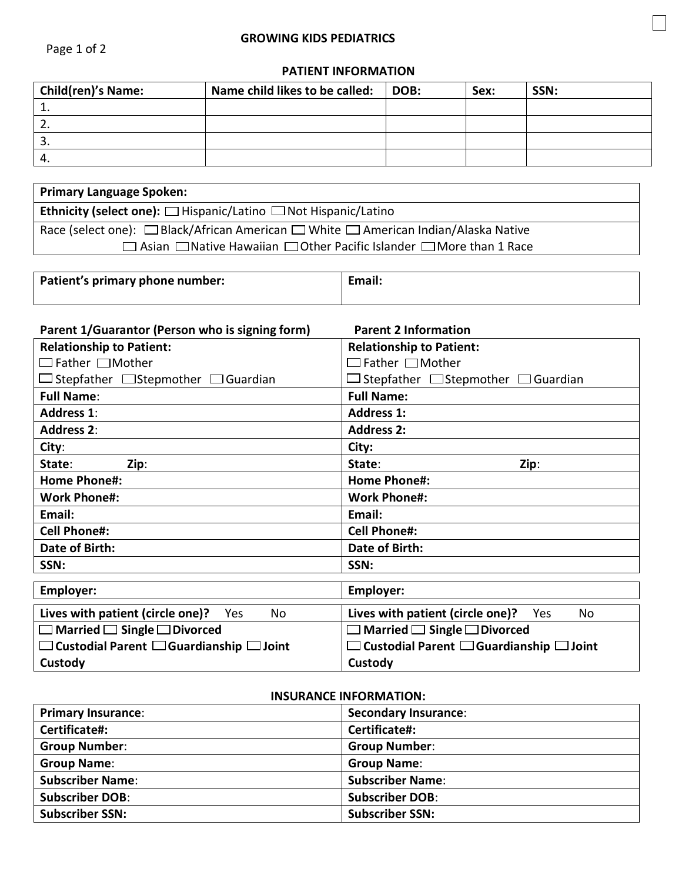## **PATIENT INFORMATION**

l,

| <b>Child(ren)'s Name:</b> | Name child likes to be called: | DOB: | Sex: | SSN: |
|---------------------------|--------------------------------|------|------|------|
|                           |                                |      |      |      |
|                           |                                |      |      |      |
| <u>.</u>                  |                                |      |      |      |
|                           |                                |      |      |      |

| <b>Primary Language Spoken:</b>                                                     |  |  |
|-------------------------------------------------------------------------------------|--|--|
| <b>Ethnicity (select one):</b> $\Box$ Hispanic/Latino $\Box$ Not Hispanic/Latino    |  |  |
| Race (select one): □ Black/African American □ White □ American Indian/Alaska Native |  |  |
| □ Asian □ Native Hawaiian □ Other Pacific Islander □ More than 1 Race               |  |  |

| Patient's primary phone number: | Email: |
|---------------------------------|--------|
|                                 |        |

| Parent 1/Guarantor (Person who is signing form)          | <b>Parent 2 Information</b>                              |  |
|----------------------------------------------------------|----------------------------------------------------------|--|
| <b>Relationship to Patient:</b>                          | <b>Relationship to Patient:</b>                          |  |
| $\Box$ Father $\Box$ Mother                              | $\Box$ Father $\Box$ Mother                              |  |
| $\Box$ Stepfather $\Box$ Stepmother $\Box$ Guardian      | Stepfather $\Box$ Stepmother $\Box$ Guardian             |  |
| <b>Full Name:</b>                                        | <b>Full Name:</b>                                        |  |
| <b>Address 1:</b>                                        | <b>Address 1:</b>                                        |  |
| <b>Address 2:</b>                                        | <b>Address 2:</b>                                        |  |
| City:                                                    | City:                                                    |  |
| State:<br>Zip:                                           | Zip:<br>State:                                           |  |
| <b>Home Phone#:</b>                                      | <b>Home Phone#:</b>                                      |  |
| <b>Work Phone#:</b>                                      | <b>Work Phone#:</b>                                      |  |
| Email:                                                   | Email:                                                   |  |
| <b>Cell Phone#:</b>                                      | <b>Cell Phone#:</b>                                      |  |
| Date of Birth:                                           | <b>Date of Birth:</b>                                    |  |
| SSN:                                                     | SSN:                                                     |  |
| <b>Employer:</b>                                         | Employer:                                                |  |
| Lives with patient (circle one)? Yes<br>No               | Lives with patient (circle one)?<br>Yes<br>No            |  |
| $\Box$ Married $\Box$ Single $\Box$ Divorced             | Married $\Box$ Single $\Box$ Divorced                    |  |
| $\Box$ Custodial Parent $\Box$ Guardianship $\Box$ Joint | $\Box$ Custodial Parent $\Box$ Guardianship $\Box$ Joint |  |
| Custody                                                  | Custody                                                  |  |

## **INSURANCE INFORMATION:**

| <b>Primary Insurance:</b> | <b>Secondary Insurance:</b> |
|---------------------------|-----------------------------|
| Certificate#:             | Certificate#:               |
| <b>Group Number:</b>      | <b>Group Number:</b>        |
| <b>Group Name:</b>        | <b>Group Name:</b>          |
| <b>Subscriber Name:</b>   | <b>Subscriber Name:</b>     |
| <b>Subscriber DOB:</b>    | <b>Subscriber DOB:</b>      |
| <b>Subscriber SSN:</b>    | <b>Subscriber SSN:</b>      |